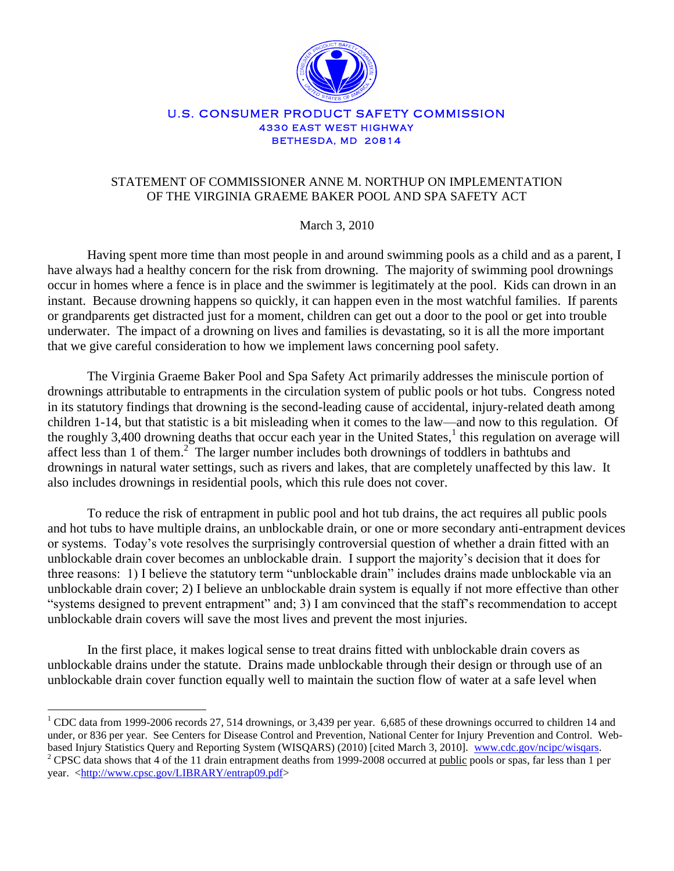

#### U.S. CONSUMER PRODUCT SAFETY COMMISSION **4330 EAST WEST HIGHWAY BETHESDA, MD 20814**

# STATEMENT OF COMMISSIONER ANNE M. NORTHUP ON IMPLEMENTATION OF THE VIRGINIA GRAEME BAKER POOL AND SPA SAFETY ACT

# March 3, 2010

Having spent more time than most people in and around swimming pools as a child and as a parent, I have always had a healthy concern for the risk from drowning. The majority of swimming pool drownings occur in homes where a fence is in place and the swimmer is legitimately at the pool. Kids can drown in an instant. Because drowning happens so quickly, it can happen even in the most watchful families. If parents or grandparents get distracted just for a moment, children can get out a door to the pool or get into trouble underwater. The impact of a drowning on lives and families is devastating, so it is all the more important that we give careful consideration to how we implement laws concerning pool safety.

The Virginia Graeme Baker Pool and Spa Safety Act primarily addresses the miniscule portion of drownings attributable to entrapments in the circulation system of public pools or hot tubs. Congress noted in its statutory findings that drowning is the second-leading cause of accidental, injury-related death among children 1-14, but that statistic is a bit misleading when it comes to the law—and now to this regulation. Of the roughly 3,400 drowning deaths that occur each year in the United States, $\frac{1}{1}$  this regulation on average will affect less than 1 of them.<sup>2</sup> The larger number includes both drownings of toddlers in bathtubs and drownings in natural water settings, such as rivers and lakes, that are completely unaffected by this law. It also includes drownings in residential pools, which this rule does not cover.

To reduce the risk of entrapment in public pool and hot tub drains, the act requires all public pools and hot tubs to have multiple drains, an unblockable drain, or one or more secondary anti-entrapment devices or systems. Today's vote resolves the surprisingly controversial question of whether a drain fitted with an unblockable drain cover becomes an unblockable drain. I support the majority's decision that it does for three reasons: 1) I believe the statutory term "unblockable drain" includes drains made unblockable via an unblockable drain cover; 2) I believe an unblockable drain system is equally if not more effective than other "systems designed to prevent entrapment" and; 3) I am convinced that the staff's recommendation to accept unblockable drain covers will save the most lives and prevent the most injuries.

In the first place, it makes logical sense to treat drains fitted with unblockable drain covers as unblockable drains under the statute. Drains made unblockable through their design or through use of an unblockable drain cover function equally well to maintain the suction flow of water at a safe level when

 $\overline{a}$ 

<sup>&</sup>lt;sup>1</sup> CDC data from 1999-2006 records 27, 514 drownings, or 3,439 per year. 6,685 of these drownings occurred to children 14 and under, or 836 per year. See Centers for Disease Control and Prevention, National Center for Injury Prevention and Control. Webbased Injury Statistics Query and Reporting System (WISQARS) (2010) [cited March 3, 2010]. [www.cdc.gov/ncipc/wisqars.](http://www.cdc.gov/ncipc/wisqars)  $2$  CPSC data shows that 4 of the 11 drain entrapment deaths from 1999-2008 occurred at public pools or spas, far less than 1 per year. [<http://www.cpsc.gov/LIBRARY/entrap09.pdf>](http://www.cpsc.gov/LIBRARY/entrap09.pdf)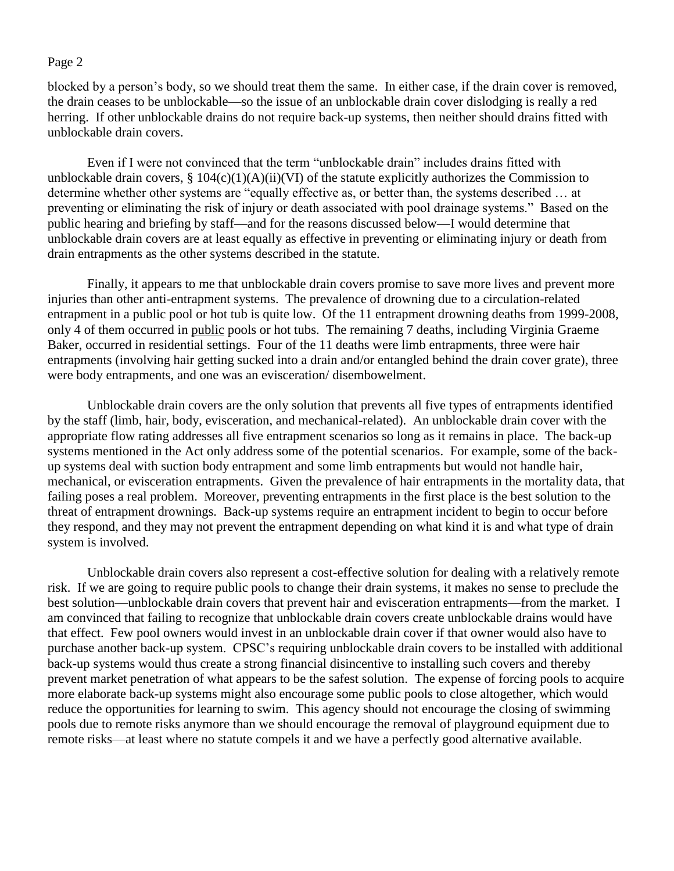#### Page 2

blocked by a person's body, so we should treat them the same. In either case, if the drain cover is removed, the drain ceases to be unblockable—so the issue of an unblockable drain cover dislodging is really a red herring. If other unblockable drains do not require back-up systems, then neither should drains fitted with unblockable drain covers.

Even if I were not convinced that the term "unblockable drain" includes drains fitted with unblockable drain covers,  $\S 104(c)(1)(A)(ii)(VI)$  of the statute explicitly authorizes the Commission to determine whether other systems are "equally effective as, or better than, the systems described … at preventing or eliminating the risk of injury or death associated with pool drainage systems." Based on the public hearing and briefing by staff—and for the reasons discussed below—I would determine that unblockable drain covers are at least equally as effective in preventing or eliminating injury or death from drain entrapments as the other systems described in the statute.

Finally, it appears to me that unblockable drain covers promise to save more lives and prevent more injuries than other anti-entrapment systems. The prevalence of drowning due to a circulation-related entrapment in a public pool or hot tub is quite low. Of the 11 entrapment drowning deaths from 1999-2008, only 4 of them occurred in public pools or hot tubs. The remaining 7 deaths, including Virginia Graeme Baker, occurred in residential settings. Four of the 11 deaths were limb entrapments, three were hair entrapments (involving hair getting sucked into a drain and/or entangled behind the drain cover grate), three were body entrapments, and one was an evisceration/ disembowelment.

Unblockable drain covers are the only solution that prevents all five types of entrapments identified by the staff (limb, hair, body, evisceration, and mechanical-related). An unblockable drain cover with the appropriate flow rating addresses all five entrapment scenarios so long as it remains in place. The back-up systems mentioned in the Act only address some of the potential scenarios. For example, some of the backup systems deal with suction body entrapment and some limb entrapments but would not handle hair, mechanical, or evisceration entrapments. Given the prevalence of hair entrapments in the mortality data, that failing poses a real problem. Moreover, preventing entrapments in the first place is the best solution to the threat of entrapment drownings. Back-up systems require an entrapment incident to begin to occur before they respond, and they may not prevent the entrapment depending on what kind it is and what type of drain system is involved.

Unblockable drain covers also represent a cost-effective solution for dealing with a relatively remote risk. If we are going to require public pools to change their drain systems, it makes no sense to preclude the best solution—unblockable drain covers that prevent hair and evisceration entrapments—from the market. I am convinced that failing to recognize that unblockable drain covers create unblockable drains would have that effect. Few pool owners would invest in an unblockable drain cover if that owner would also have to purchase another back-up system. CPSC's requiring unblockable drain covers to be installed with additional back-up systems would thus create a strong financial disincentive to installing such covers and thereby prevent market penetration of what appears to be the safest solution. The expense of forcing pools to acquire more elaborate back-up systems might also encourage some public pools to close altogether, which would reduce the opportunities for learning to swim. This agency should not encourage the closing of swimming pools due to remote risks anymore than we should encourage the removal of playground equipment due to remote risks—at least where no statute compels it and we have a perfectly good alternative available.